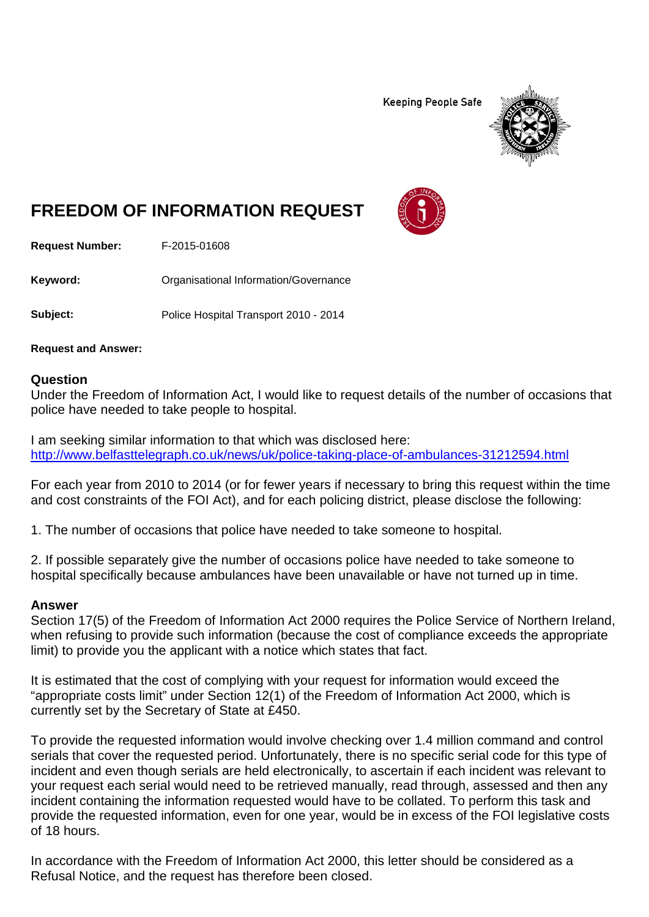**Keeping People Safe** 



## **FREEDOM OF INFORMATION REQUEST**

**Request Number:** F-2015-01608

Keyword: **Communistry Communists** Organisational Information/Governance

**Subject:** Police Hospital Transport 2010 - 2014

**Request and Answer:**

## **Question**

Under the Freedom of Information Act, I would like to request details of the number of occasions that police have needed to take people to hospital.

I am seeking similar information to that which was disclosed here: <http://www.belfasttelegraph.co.uk/news/uk/police-taking-place-of-ambulances-31212594.html>

For each year from 2010 to 2014 (or for fewer years if necessary to bring this request within the time and cost constraints of the FOI Act), and for each policing district, please disclose the following:

1. The number of occasions that police have needed to take someone to hospital.

2. If possible separately give the number of occasions police have needed to take someone to hospital specifically because ambulances have been unavailable or have not turned up in time.

## **Answer**

Section 17(5) of the Freedom of Information Act 2000 requires the Police Service of Northern Ireland, when refusing to provide such information (because the cost of compliance exceeds the appropriate limit) to provide you the applicant with a notice which states that fact.

It is estimated that the cost of complying with your request for information would exceed the "appropriate costs limit" under Section 12(1) of the Freedom of Information Act 2000, which is currently set by the Secretary of State at £450.

To provide the requested information would involve checking over 1.4 million command and control serials that cover the requested period. Unfortunately, there is no specific serial code for this type of incident and even though serials are held electronically, to ascertain if each incident was relevant to your request each serial would need to be retrieved manually, read through, assessed and then any incident containing the information requested would have to be collated. To perform this task and provide the requested information, even for one year, would be in excess of the FOI legislative costs of 18 hours.

In accordance with the Freedom of Information Act 2000, this letter should be considered as a Refusal Notice, and the request has therefore been closed.